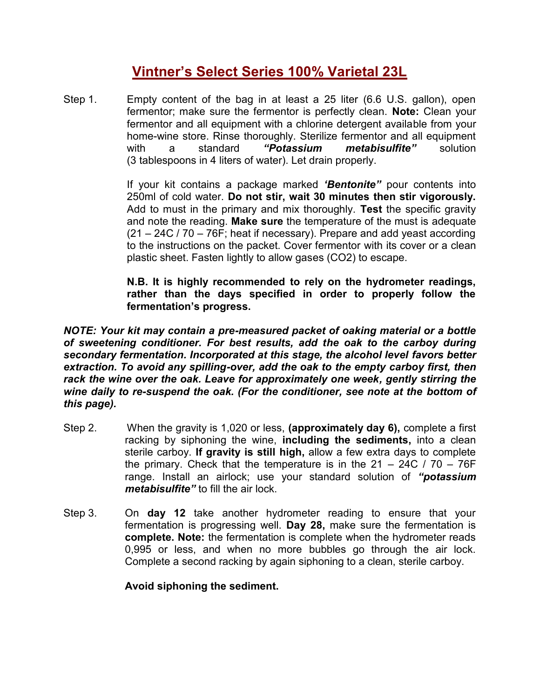## **Vintner's Select Series 100% Varietal 23L**

Step 1. Empty content of the bag in at least a 25 liter (6.6 U.S. gallon), open fermentor; make sure the fermentor is perfectly clean. **Note:** Clean your fermentor and all equipment with a chlorine detergent available from your home-wine store. Rinse thoroughly. Sterilize fermentor and all equipment with a standard *"Potassium metabisulfite"* solution (3 tablespoons in 4 liters of water). Let drain properly.

> If your kit contains a package marked *'Bentonite"* pour contents into 250ml of cold water. **Do not stir, wait 30 minutes then stir vigorously.** Add to must in the primary and mix thoroughly. **Test** the specific gravity and note the reading. **Make sure** the temperature of the must is adequate (21 – 24C / 70 – 76F; heat if necessary). Prepare and add yeast according to the instructions on the packet. Cover fermentor with its cover or a clean plastic sheet. Fasten lightly to allow gases (CO2) to escape.

> **N.B. It is highly recommended to rely on the hydrometer readings, rather than the days specified in order to properly follow the fermentation's progress.**

*NOTE: Your kit may contain a pre-measured packet of oaking material or a bottle of sweetening conditioner. For best results, add the oak to the carboy during secondary fermentation. Incorporated at this stage, the alcohol level favors better extraction. To avoid any spilling-over, add the oak to the empty carboy first, then rack the wine over the oak. Leave for approximately one week, gently stirring the wine daily to re-suspend the oak. (For the conditioner, see note at the bottom of this page).*

- Step 2. When the gravity is 1,020 or less, **(approximately day 6),** complete a first racking by siphoning the wine, **including the sediments,** into a clean sterile carboy. **If gravity is still high,** allow a few extra days to complete the primary. Check that the temperature is in the  $21 - 24C / 70 - 76F$ range. Install an airlock; use your standard solution of *"potassium metabisulfite"* to fill the air lock.
- Step 3. On **day 12** take another hydrometer reading to ensure that your fermentation is progressing well. **Day 28,** make sure the fermentation is **complete. Note:** the fermentation is complete when the hydrometer reads 0,995 or less, and when no more bubbles go through the air lock. Complete a second racking by again siphoning to a clean, sterile carboy.

**Avoid siphoning the sediment.**